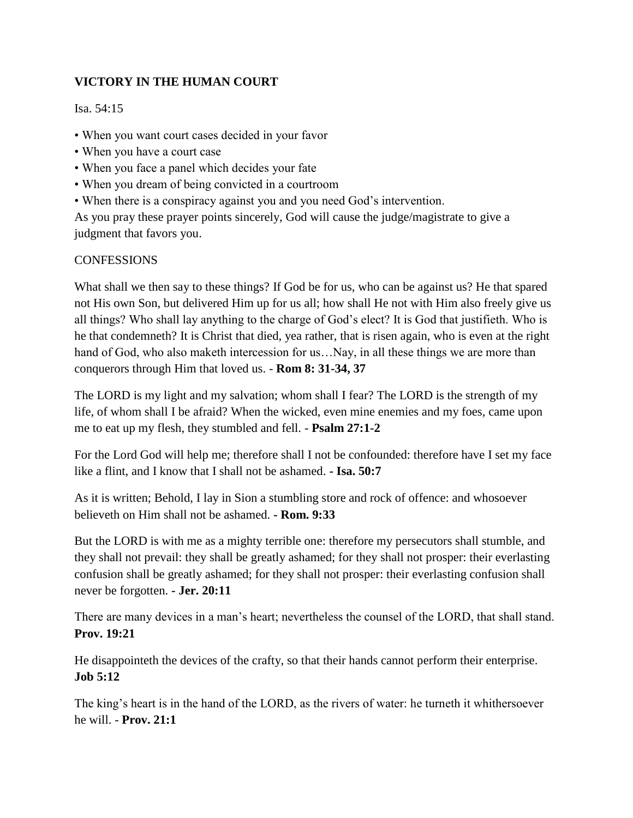## **VICTORY IN THE HUMAN COURT**

Isa. 54:15

• When you want court cases decided in your favor

- When you have a court case
- When you face a panel which decides your fate
- When you dream of being convicted in a courtroom
- When there is a conspiracy against you and you need God's intervention.

As you pray these prayer points sincerely, God will cause the judge/magistrate to give a judgment that favors you.

## **CONFESSIONS**

What shall we then say to these things? If God be for us, who can be against us? He that spared not His own Son, but delivered Him up for us all; how shall He not with Him also freely give us all things? Who shall lay anything to the charge of God's elect? It is God that justifieth. Who is he that condemneth? It is Christ that died, yea rather, that is risen again, who is even at the right hand of God, who also maketh intercession for us...Nay, in all these things we are more than conquerors through Him that loved us. - **Rom 8: 31-34, 37**

The LORD is my light and my salvation; whom shall I fear? The LORD is the strength of my life, of whom shall I be afraid? When the wicked, even mine enemies and my foes, came upon me to eat up my flesh, they stumbled and fell. - **Psalm 27:1-2**

For the Lord God will help me; therefore shall I not be confounded: therefore have I set my face like a flint, and I know that I shall not be ashamed. **- Isa. 50:7**

As it is written; Behold, I lay in Sion a stumbling store and rock of offence: and whosoever believeth on Him shall not be ashamed. **- Rom. 9:33**

But the LORD is with me as a mighty terrible one: therefore my persecutors shall stumble, and they shall not prevail: they shall be greatly ashamed; for they shall not prosper: their everlasting confusion shall be greatly ashamed; for they shall not prosper: their everlasting confusion shall never be forgotten. **- Jer. 20:11**

There are many devices in a man's heart; nevertheless the counsel of the LORD, that shall stand. **Prov. 19:21**

He disappointeth the devices of the crafty, so that their hands cannot perform their enterprise. **Job 5:12**

The king's heart is in the hand of the LORD, as the rivers of water: he turneth it whithersoever he will. - **Prov. 21:1**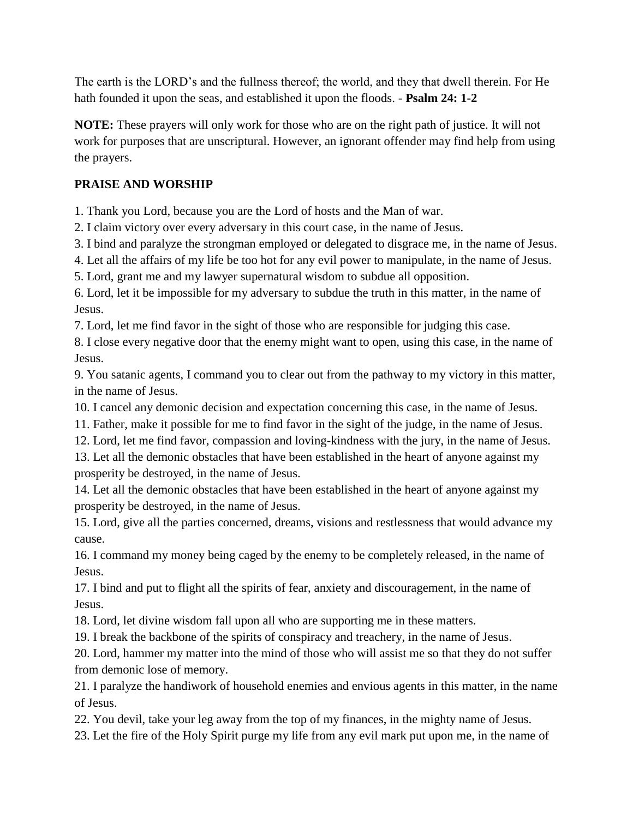The earth is the LORD's and the fullness thereof; the world, and they that dwell therein. For He hath founded it upon the seas, and established it upon the floods. - **Psalm 24: 1-2**

**NOTE:** These prayers will only work for those who are on the right path of justice. It will not work for purposes that are unscriptural. However, an ignorant offender may find help from using the prayers.

## **PRAISE AND WORSHIP**

1. Thank you Lord, because you are the Lord of hosts and the Man of war.

2. I claim victory over every adversary in this court case, in the name of Jesus.

3. I bind and paralyze the strongman employed or delegated to disgrace me, in the name of Jesus.

4. Let all the affairs of my life be too hot for any evil power to manipulate, in the name of Jesus.

5. Lord, grant me and my lawyer supernatural wisdom to subdue all opposition.

6. Lord, let it be impossible for my adversary to subdue the truth in this matter, in the name of Jesus.

7. Lord, let me find favor in the sight of those who are responsible for judging this case.

8. I close every negative door that the enemy might want to open, using this case, in the name of Jesus.

9. You satanic agents, I command you to clear out from the pathway to my victory in this matter, in the name of Jesus.

10. I cancel any demonic decision and expectation concerning this case, in the name of Jesus.

11. Father, make it possible for me to find favor in the sight of the judge, in the name of Jesus.

12. Lord, let me find favor, compassion and loving-kindness with the jury, in the name of Jesus.

13. Let all the demonic obstacles that have been established in the heart of anyone against my prosperity be destroyed, in the name of Jesus.

14. Let all the demonic obstacles that have been established in the heart of anyone against my prosperity be destroyed, in the name of Jesus.

15. Lord, give all the parties concerned, dreams, visions and restlessness that would advance my cause.

16. I command my money being caged by the enemy to be completely released, in the name of Jesus.

17. I bind and put to flight all the spirits of fear, anxiety and discouragement, in the name of Jesus.

18. Lord, let divine wisdom fall upon all who are supporting me in these matters.

19. I break the backbone of the spirits of conspiracy and treachery, in the name of Jesus.

20. Lord, hammer my matter into the mind of those who will assist me so that they do not suffer from demonic lose of memory.

21. I paralyze the handiwork of household enemies and envious agents in this matter, in the name of Jesus.

22. You devil, take your leg away from the top of my finances, in the mighty name of Jesus.

23. Let the fire of the Holy Spirit purge my life from any evil mark put upon me, in the name of